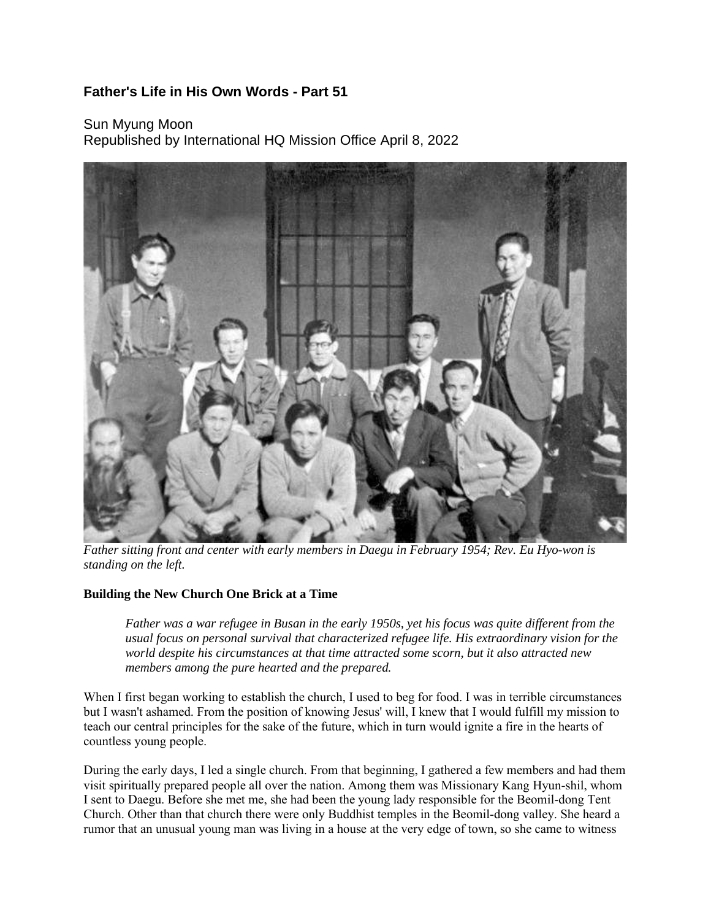## **Father's Life in His Own Words - Part 51**

Sun Myung Moon Republished by International HQ Mission Office April 8, 2022



*Father sitting front and center with early members in Daegu in February 1954; Rev. Eu Hyo-won is standing on the left.*

## **Building the New Church One Brick at a Time**

Father was a war refugee in Busan in the early 1950s, yet his focus was quite different from the *usual focus on personal survival that characterized refugee life. His extraordinary vision for the world despite his circumstances at that time attracted some scorn, but it also attracted new members among the pure hearted and the prepared.*

When I first began working to establish the church, I used to beg for food. I was in terrible circumstances but I wasn't ashamed. From the position of knowing Jesus' will, I knew that I would fulfill my mission to teach our central principles for the sake of the future, which in turn would ignite a fire in the hearts of countless young people.

During the early days, I led a single church. From that beginning, I gathered a few members and had them visit spiritually prepared people all over the nation. Among them was Missionary Kang Hyun-shil, whom I sent to Daegu. Before she met me, she had been the young lady responsible for the Beomil-dong Tent Church. Other than that church there were only Buddhist temples in the Beomil-dong valley. She heard a rumor that an unusual young man was living in a house at the very edge of town, so she came to witness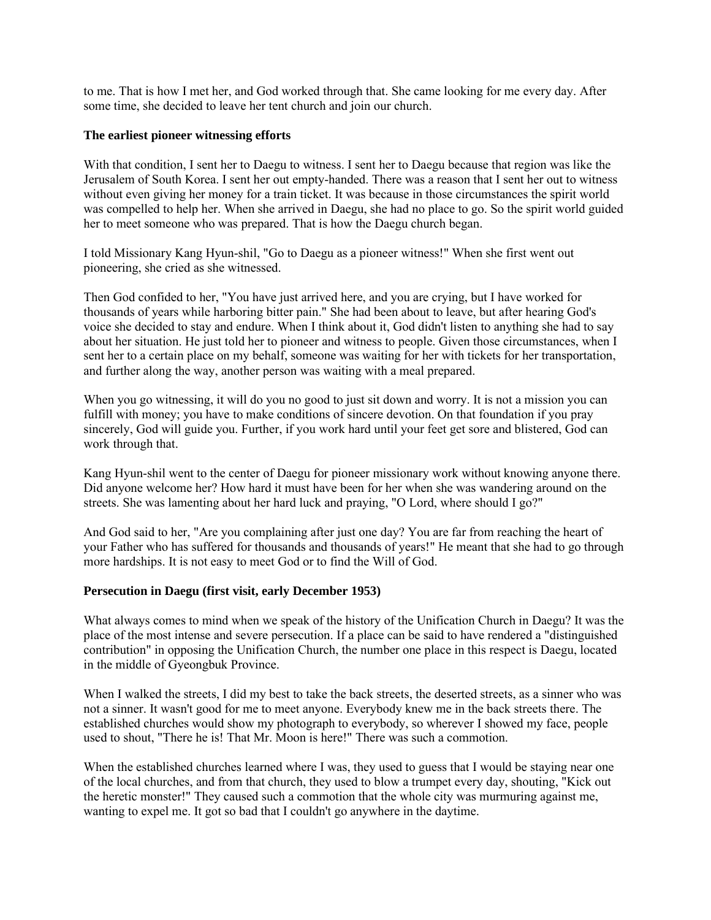to me. That is how I met her, and God worked through that. She came looking for me every day. After some time, she decided to leave her tent church and join our church.

## **The earliest pioneer witnessing efforts**

With that condition, I sent her to Daegu to witness. I sent her to Daegu because that region was like the Jerusalem of South Korea. I sent her out empty-handed. There was a reason that I sent her out to witness without even giving her money for a train ticket. It was because in those circumstances the spirit world was compelled to help her. When she arrived in Daegu, she had no place to go. So the spirit world guided her to meet someone who was prepared. That is how the Daegu church began.

I told Missionary Kang Hyun-shil, "Go to Daegu as a pioneer witness!" When she first went out pioneering, she cried as she witnessed.

Then God confided to her, "You have just arrived here, and you are crying, but I have worked for thousands of years while harboring bitter pain." She had been about to leave, but after hearing God's voice she decided to stay and endure. When I think about it, God didn't listen to anything she had to say about her situation. He just told her to pioneer and witness to people. Given those circumstances, when I sent her to a certain place on my behalf, someone was waiting for her with tickets for her transportation, and further along the way, another person was waiting with a meal prepared.

When you go witnessing, it will do you no good to just sit down and worry. It is not a mission you can fulfill with money; you have to make conditions of sincere devotion. On that foundation if you pray sincerely, God will guide you. Further, if you work hard until your feet get sore and blistered, God can work through that.

Kang Hyun-shil went to the center of Daegu for pioneer missionary work without knowing anyone there. Did anyone welcome her? How hard it must have been for her when she was wandering around on the streets. She was lamenting about her hard luck and praying, "O Lord, where should I go?"

And God said to her, "Are you complaining after just one day? You are far from reaching the heart of your Father who has suffered for thousands and thousands of years!" He meant that she had to go through more hardships. It is not easy to meet God or to find the Will of God.

## **Persecution in Daegu (first visit, early December 1953)**

What always comes to mind when we speak of the history of the Unification Church in Daegu? It was the place of the most intense and severe persecution. If a place can be said to have rendered a "distinguished contribution" in opposing the Unification Church, the number one place in this respect is Daegu, located in the middle of Gyeongbuk Province.

When I walked the streets, I did my best to take the back streets, the deserted streets, as a sinner who was not a sinner. It wasn't good for me to meet anyone. Everybody knew me in the back streets there. The established churches would show my photograph to everybody, so wherever I showed my face, people used to shout, "There he is! That Mr. Moon is here!" There was such a commotion.

When the established churches learned where I was, they used to guess that I would be staying near one of the local churches, and from that church, they used to blow a trumpet every day, shouting, "Kick out the heretic monster!" They caused such a commotion that the whole city was murmuring against me, wanting to expel me. It got so bad that I couldn't go anywhere in the daytime.